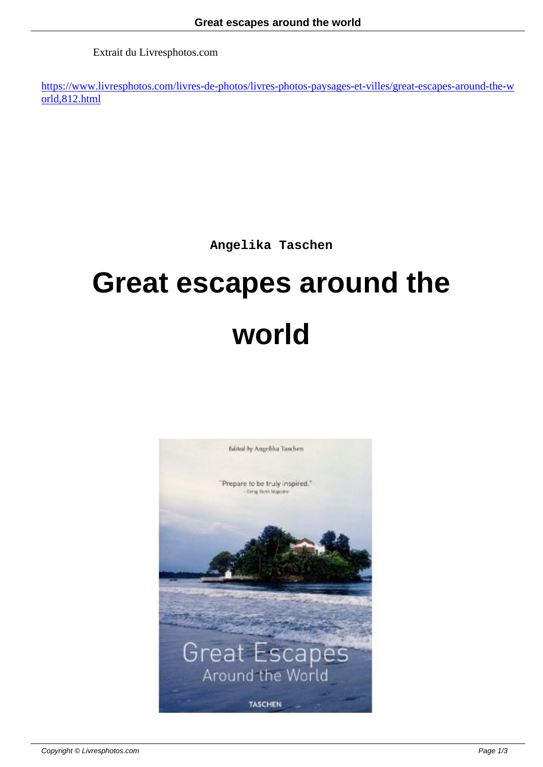Extrait du Livresphotos.com

https://www.livresphotos.com/livres-de-photos/livres-photos-paysages-et-villes/great-escapes-around-the-w orld,812.html

**Angelika Taschen**

## **Great escapes around the world**

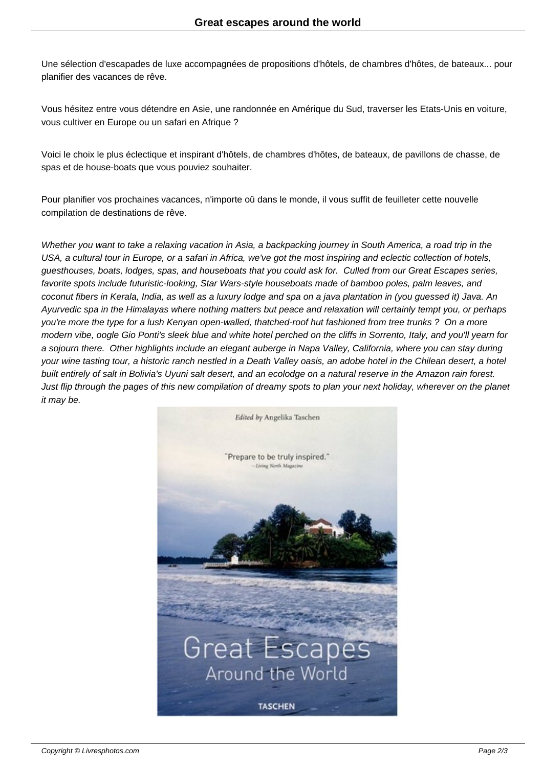Une sélection d'escapades de luxe accompagnées de propositions d'hôtels, de chambres d'hôtes, de bateaux... pour planifier des vacances de rêve.

Vous hésitez entre vous détendre en Asie, une randonnée en Amérique du Sud, traverser les Etats-Unis en voiture, vous cultiver en Europe ou un safari en Afrique ?

Voici le choix le plus éclectique et inspirant d'hôtels, de chambres d'hôtes, de bateaux, de pavillons de chasse, de spas et de house-boats que vous pouviez souhaiter.

Pour planifier vos prochaines vacances, n'importe oû dans le monde, il vous suffit de feuilleter cette nouvelle compilation de destinations de rêve.

Whether you want to take a relaxing vacation in Asia, a backpacking journey in South America, a road trip in the USA, a cultural tour in Europe, or a safari in Africa, we've got the most inspiring and eclectic collection of hotels, guesthouses, boats, lodges, spas, and houseboats that you could ask for. Culled from our Great Escapes series, favorite spots include futuristic-looking, Star Wars-style houseboats made of bamboo poles, palm leaves, and coconut fibers in Kerala, India, as well as a luxury lodge and spa on a java plantation in (you guessed it) Java. An Ayurvedic spa in the Himalayas where nothing matters but peace and relaxation will certainly tempt you, or perhaps you're more the type for a lush Kenyan open-walled, thatched-roof hut fashioned from tree trunks ? On a more modern vibe, oogle Gio Ponti's sleek blue and white hotel perched on the cliffs in Sorrento, Italy, and you'll yearn for a sojourn there. Other highlights include an elegant auberge in Napa Valley, California, where you can stay during your wine tasting tour, a historic ranch nestled in a Death Valley oasis, an adobe hotel in the Chilean desert, a hotel built entirely of salt in Bolivia's Uyuni salt desert, and an ecolodge on a natural reserve in the Amazon rain forest. Just flip through the pages of this new compilation of dreamy spots to plan your next holiday, wherever on the planet it may be.